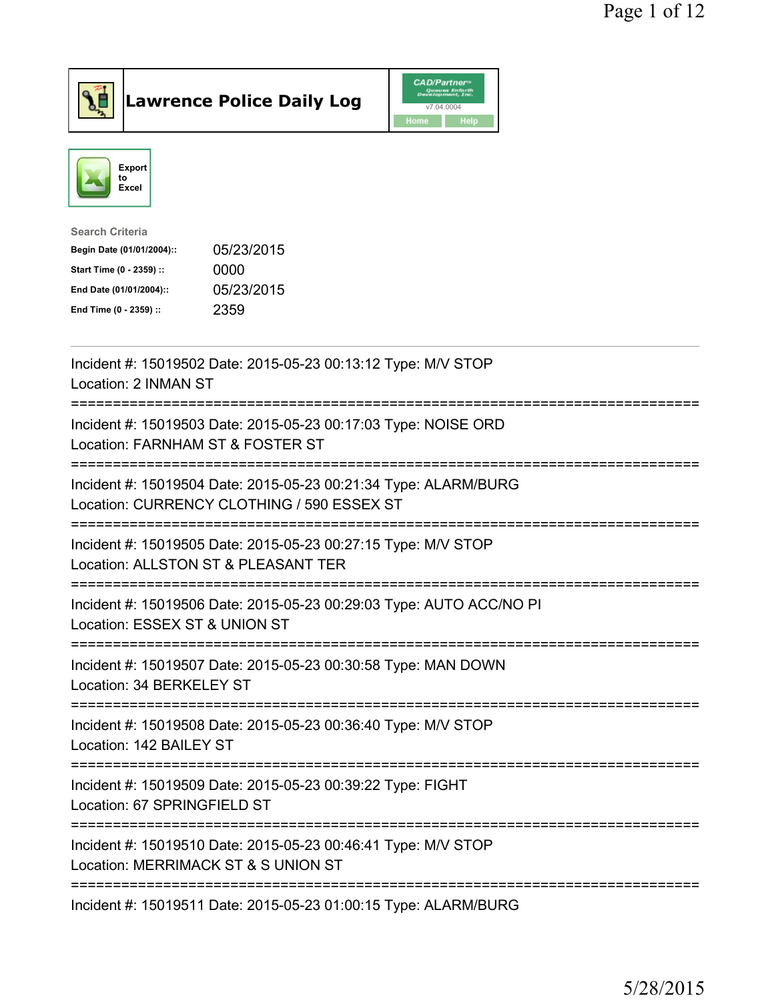

Lawrence Police Daily Log **CAD/Partner** 



| Search Criteria           |            |
|---------------------------|------------|
| Begin Date (01/01/2004):: | 05/23/2015 |
| Start Time (0 - 2359) ::  | 0000       |
| End Date (01/01/2004)::   | 05/23/2015 |
| End Time (0 - 2359) ::    | 2359       |

| Incident #: 15019502 Date: 2015-05-23 00:13:12 Type: M/V STOP<br>Location: 2 INMAN ST                         |
|---------------------------------------------------------------------------------------------------------------|
| Incident #: 15019503 Date: 2015-05-23 00:17:03 Type: NOISE ORD<br>Location: FARNHAM ST & FOSTER ST            |
| Incident #: 15019504 Date: 2015-05-23 00:21:34 Type: ALARM/BURG<br>Location: CURRENCY CLOTHING / 590 ESSEX ST |
| Incident #: 15019505 Date: 2015-05-23 00:27:15 Type: M/V STOP<br>Location: ALLSTON ST & PLEASANT TER          |
| Incident #: 15019506 Date: 2015-05-23 00:29:03 Type: AUTO ACC/NO PI<br>Location: ESSEX ST & UNION ST          |
| Incident #: 15019507 Date: 2015-05-23 00:30:58 Type: MAN DOWN<br>Location: 34 BERKELEY ST                     |
| Incident #: 15019508 Date: 2015-05-23 00:36:40 Type: M/V STOP<br>Location: 142 BAILEY ST                      |
| Incident #: 15019509 Date: 2015-05-23 00:39:22 Type: FIGHT<br>Location: 67 SPRINGFIELD ST                     |
| Incident #: 15019510 Date: 2015-05-23 00:46:41 Type: M/V STOP<br>Location: MERRIMACK ST & S UNION ST          |
| Incident #: 15019511 Date: 2015-05-23 01:00:15 Type: ALARM/BURG                                               |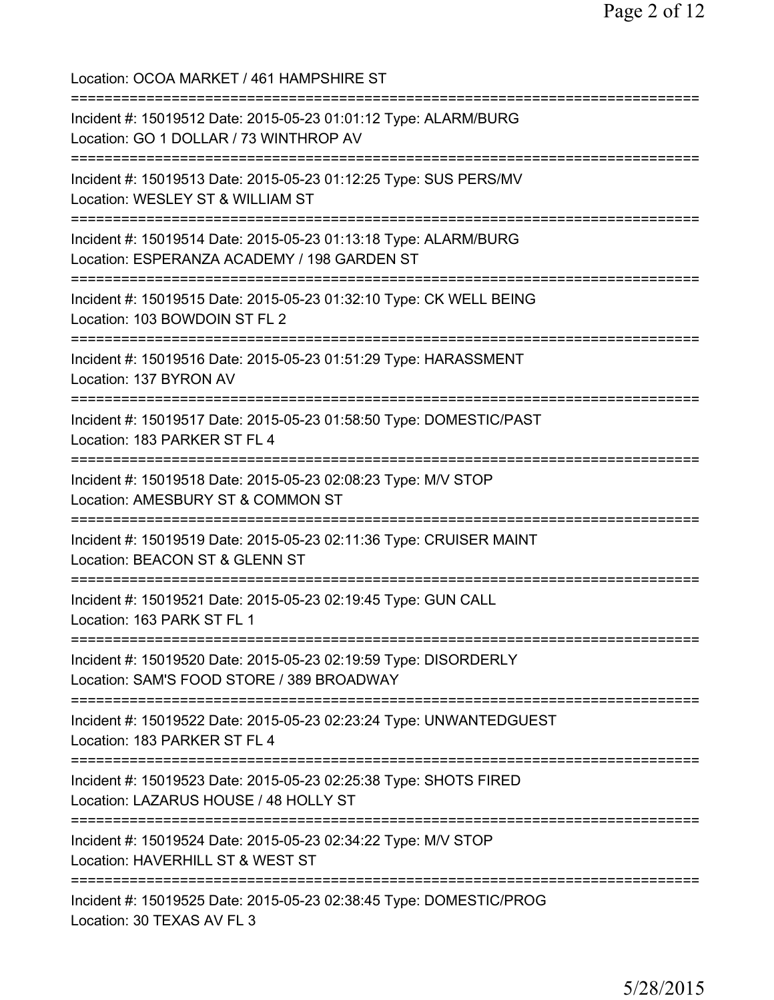Location: OCOA MARKET / 461 HAMPSHIRE ST =========================================================================== Incident #: 15019512 Date: 2015-05-23 01:01:12 Type: ALARM/BURG Location: GO 1 DOLLAR / 73 WINTHROP AV =========================================================================== Incident #: 15019513 Date: 2015-05-23 01:12:25 Type: SUS PERS/MV Location: WESLEY ST & WILLIAM ST =========================================================================== Incident #: 15019514 Date: 2015-05-23 01:13:18 Type: ALARM/BURG Location: ESPERANZA ACADEMY / 198 GARDEN ST =========================================================================== Incident #: 15019515 Date: 2015-05-23 01:32:10 Type: CK WELL BEING Location: 103 BOWDOIN ST FL 2 =========================================================================== Incident #: 15019516 Date: 2015-05-23 01:51:29 Type: HARASSMENT Location: 137 BYRON AV =========================================================================== Incident #: 15019517 Date: 2015-05-23 01:58:50 Type: DOMESTIC/PAST Location: 183 PARKER ST FL 4 =========================================================================== Incident #: 15019518 Date: 2015-05-23 02:08:23 Type: M/V STOP Location: AMESBURY ST & COMMON ST =========================================================================== Incident #: 15019519 Date: 2015-05-23 02:11:36 Type: CRUISER MAINT Location: BEACON ST & GLENN ST =========================================================================== Incident #: 15019521 Date: 2015-05-23 02:19:45 Type: GUN CALL Location: 163 PARK ST FL 1 =========================================================================== Incident #: 15019520 Date: 2015-05-23 02:19:59 Type: DISORDERLY Location: SAM'S FOOD STORE / 389 BROADWAY =========================================================================== Incident #: 15019522 Date: 2015-05-23 02:23:24 Type: UNWANTEDGUEST Location: 183 PARKER ST FL 4 =========================================================================== Incident #: 15019523 Date: 2015-05-23 02:25:38 Type: SHOTS FIRED Location: LAZARUS HOUSE / 48 HOLLY ST =========================================================================== Incident #: 15019524 Date: 2015-05-23 02:34:22 Type: M/V STOP Location: HAVERHILL ST & WEST ST =========================================================================== Incident #: 15019525 Date: 2015-05-23 02:38:45 Type: DOMESTIC/PROG Location: 30 TEXAS AV FL 3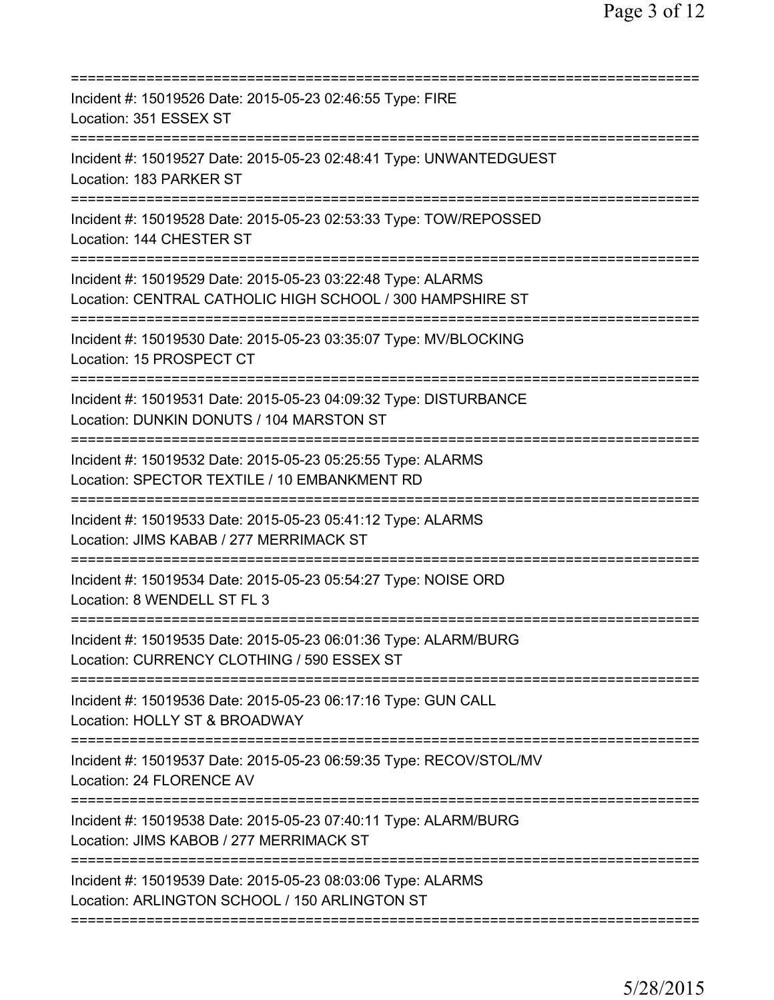| Incident #: 15019526 Date: 2015-05-23 02:46:55 Type: FIRE<br>Location: 351 ESSEX ST                                                                 |
|-----------------------------------------------------------------------------------------------------------------------------------------------------|
| Incident #: 15019527 Date: 2015-05-23 02:48:41 Type: UNWANTEDGUEST<br>Location: 183 PARKER ST                                                       |
| Incident #: 15019528 Date: 2015-05-23 02:53:33 Type: TOW/REPOSSED<br>Location: 144 CHESTER ST                                                       |
| Incident #: 15019529 Date: 2015-05-23 03:22:48 Type: ALARMS<br>Location: CENTRAL CATHOLIC HIGH SCHOOL / 300 HAMPSHIRE ST                            |
| Incident #: 15019530 Date: 2015-05-23 03:35:07 Type: MV/BLOCKING<br>Location: 15 PROSPECT CT                                                        |
| Incident #: 15019531 Date: 2015-05-23 04:09:32 Type: DISTURBANCE<br>Location: DUNKIN DONUTS / 104 MARSTON ST<br>=======================             |
| Incident #: 15019532 Date: 2015-05-23 05:25:55 Type: ALARMS<br>Location: SPECTOR TEXTILE / 10 EMBANKMENT RD                                         |
| Incident #: 15019533 Date: 2015-05-23 05:41:12 Type: ALARMS<br>Location: JIMS KABAB / 277 MERRIMACK ST                                              |
| Incident #: 15019534 Date: 2015-05-23 05:54:27 Type: NOISE ORD<br>Location: 8 WENDELL ST FL 3                                                       |
| Incident #: 15019535 Date: 2015-05-23 06:01:36 Type: ALARM/BURG<br>Location: CURRENCY CLOTHING / 590 ESSEX ST                                       |
| Incident #: 15019536 Date: 2015-05-23 06:17:16 Type: GUN CALL<br>Location: HOLLY ST & BROADWAY                                                      |
| Incident #: 15019537 Date: 2015-05-23 06:59:35 Type: RECOV/STOL/MV<br>Location: 24 FLORENCE AV                                                      |
| Incident #: 15019538 Date: 2015-05-23 07:40:11 Type: ALARM/BURG<br>Location: JIMS KABOB / 277 MERRIMACK ST                                          |
| ===================================<br>Incident #: 15019539 Date: 2015-05-23 08:03:06 Type: ALARMS<br>Location: ARLINGTON SCHOOL / 150 ARLINGTON ST |
|                                                                                                                                                     |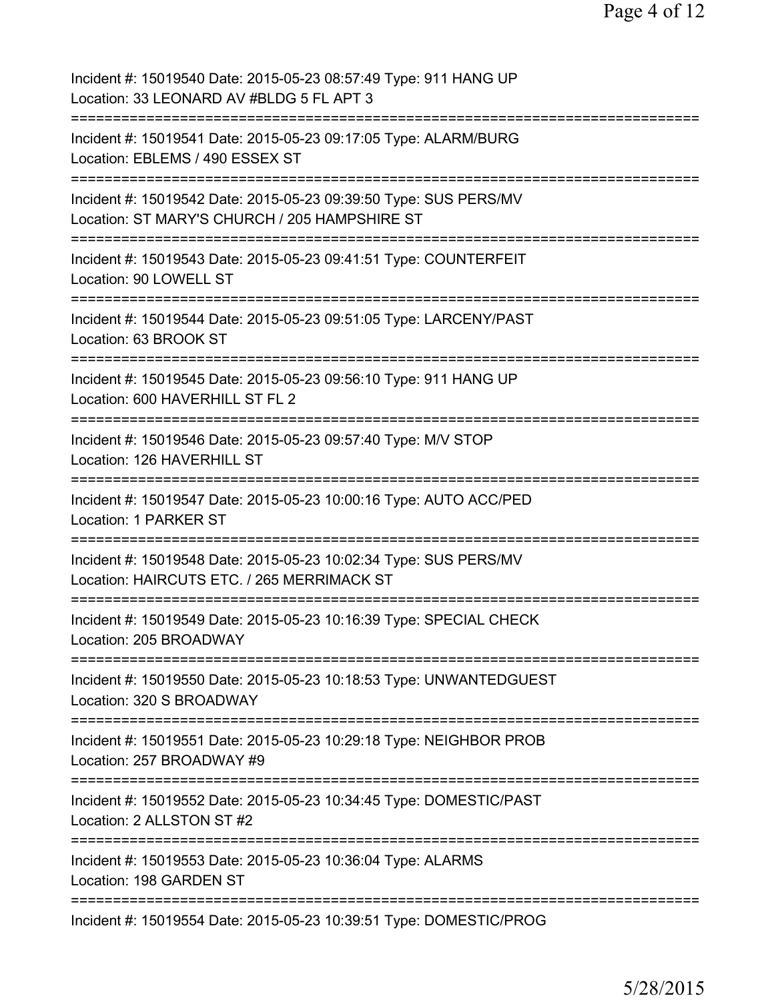| Incident #: 15019540 Date: 2015-05-23 08:57:49 Type: 911 HANG UP<br>Location: 33 LEONARD AV #BLDG 5 FL APT 3                                               |
|------------------------------------------------------------------------------------------------------------------------------------------------------------|
| Incident #: 15019541 Date: 2015-05-23 09:17:05 Type: ALARM/BURG<br>Location: EBLEMS / 490 ESSEX ST                                                         |
| Incident #: 15019542 Date: 2015-05-23 09:39:50 Type: SUS PERS/MV<br>Location: ST MARY'S CHURCH / 205 HAMPSHIRE ST                                          |
| Incident #: 15019543 Date: 2015-05-23 09:41:51 Type: COUNTERFEIT<br>Location: 90 LOWELL ST                                                                 |
| Incident #: 15019544 Date: 2015-05-23 09:51:05 Type: LARCENY/PAST<br>Location: 63 BROOK ST                                                                 |
| Incident #: 15019545 Date: 2015-05-23 09:56:10 Type: 911 HANG UP<br>Location: 600 HAVERHILL ST FL 2                                                        |
| Incident #: 15019546 Date: 2015-05-23 09:57:40 Type: M/V STOP<br>Location: 126 HAVERHILL ST<br>:==================================                         |
| Incident #: 15019547 Date: 2015-05-23 10:00:16 Type: AUTO ACC/PED<br>Location: 1 PARKER ST                                                                 |
| Incident #: 15019548 Date: 2015-05-23 10:02:34 Type: SUS PERS/MV<br>Location: HAIRCUTS ETC. / 265 MERRIMACK ST                                             |
| ===========================<br>Incident #: 15019549 Date: 2015-05-23 10:16:39 Type: SPECIAL CHECK<br>Location: 205 BROADWAY                                |
| ==================================<br>==================<br>Incident #: 15019550 Date: 2015-05-23 10:18:53 Type: UNWANTEDGUEST<br>Location: 320 S BROADWAY |
| Incident #: 15019551 Date: 2015-05-23 10:29:18 Type: NEIGHBOR PROB<br>Location: 257 BROADWAY #9                                                            |
| Incident #: 15019552 Date: 2015-05-23 10:34:45 Type: DOMESTIC/PAST<br>Location: 2 ALLSTON ST #2                                                            |
| Incident #: 15019553 Date: 2015-05-23 10:36:04 Type: ALARMS<br>Location: 198 GARDEN ST                                                                     |
| Incident #: 15019554 Date: 2015-05-23 10:39:51 Type: DOMESTIC/PROG                                                                                         |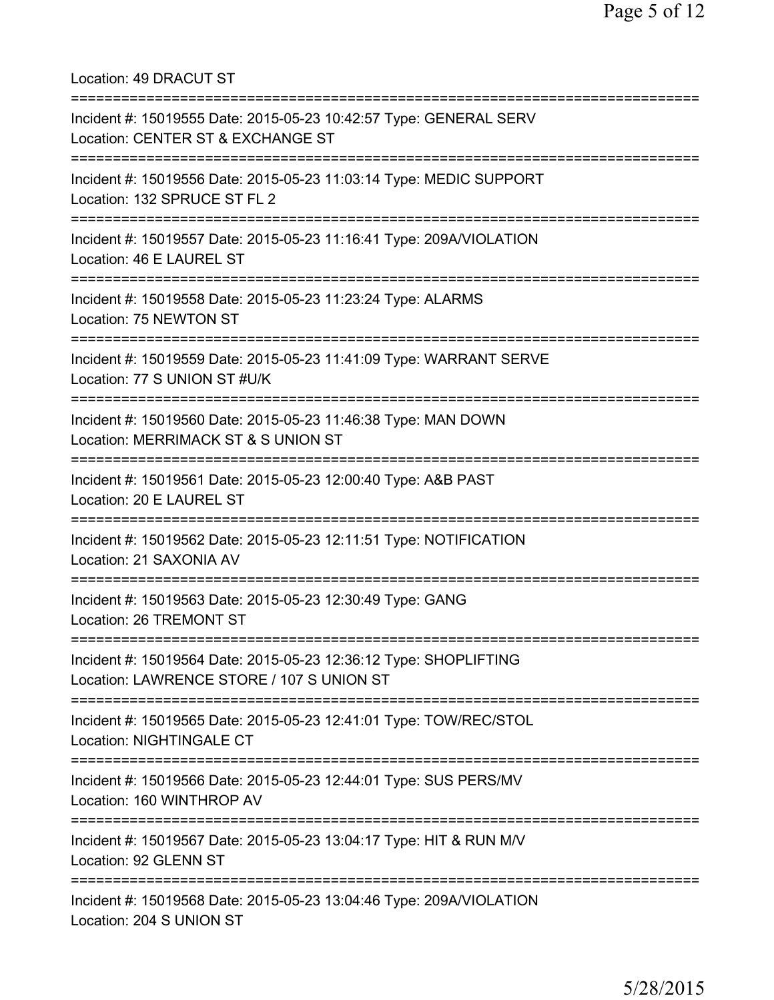Location: 49 DRACUT ST =========================================================================== Incident #: 15019555 Date: 2015-05-23 10:42:57 Type: GENERAL SERV Location: CENTER ST & EXCHANGE ST =========================================================================== Incident #: 15019556 Date: 2015-05-23 11:03:14 Type: MEDIC SUPPORT Location: 132 SPRUCE ST FL 2 =========================================================================== Incident #: 15019557 Date: 2015-05-23 11:16:41 Type: 209A/VIOLATION Location: 46 E LAUREL ST =========================================================================== Incident #: 15019558 Date: 2015-05-23 11:23:24 Type: ALARMS Location: 75 NEWTON ST =========================================================================== Incident #: 15019559 Date: 2015-05-23 11:41:09 Type: WARRANT SERVE Location: 77 S UNION ST #U/K =========================================================================== Incident #: 15019560 Date: 2015-05-23 11:46:38 Type: MAN DOWN Location: MERRIMACK ST & S UNION ST =========================================================================== Incident #: 15019561 Date: 2015-05-23 12:00:40 Type: A&B PAST Location: 20 E LAUREL ST =========================================================================== Incident #: 15019562 Date: 2015-05-23 12:11:51 Type: NOTIFICATION Location: 21 SAXONIA AV =========================================================================== Incident #: 15019563 Date: 2015-05-23 12:30:49 Type: GANG Location: 26 TREMONT ST =========================================================================== Incident #: 15019564 Date: 2015-05-23 12:36:12 Type: SHOPLIFTING Location: LAWRENCE STORE / 107 S UNION ST =========================================================================== Incident #: 15019565 Date: 2015-05-23 12:41:01 Type: TOW/REC/STOL Location: NIGHTINGALE CT =========================================================================== Incident #: 15019566 Date: 2015-05-23 12:44:01 Type: SUS PERS/MV Location: 160 WINTHROP AV =========================================================================== Incident #: 15019567 Date: 2015-05-23 13:04:17 Type: HIT & RUN M/V Location: 92 GLENN ST =========================================================================== Incident #: 15019568 Date: 2015-05-23 13:04:46 Type: 209A/VIOLATION Location: 204 S UNION ST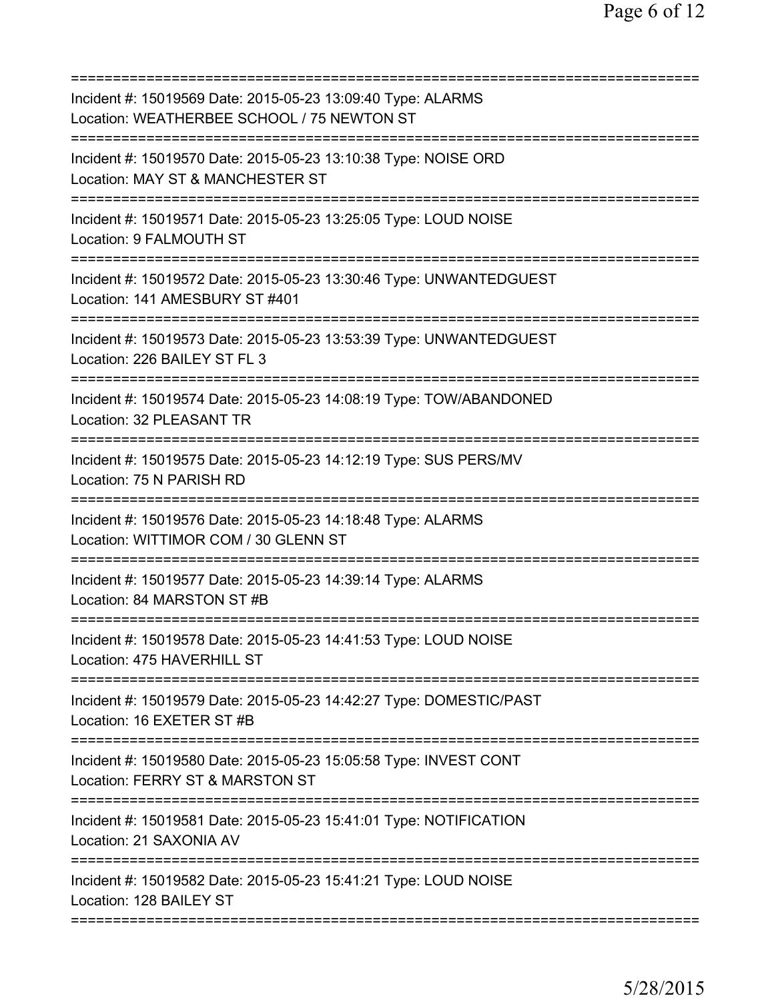| Incident #: 15019569 Date: 2015-05-23 13:09:40 Type: ALARMS<br>Location: WEATHERBEE SCHOOL / 75 NEWTON ST                   |
|-----------------------------------------------------------------------------------------------------------------------------|
| Incident #: 15019570 Date: 2015-05-23 13:10:38 Type: NOISE ORD<br>Location: MAY ST & MANCHESTER ST<br>;==================== |
| Incident #: 15019571 Date: 2015-05-23 13:25:05 Type: LOUD NOISE<br>Location: 9 FALMOUTH ST                                  |
| Incident #: 15019572 Date: 2015-05-23 13:30:46 Type: UNWANTEDGUEST<br>Location: 141 AMESBURY ST #401                        |
| Incident #: 15019573 Date: 2015-05-23 13:53:39 Type: UNWANTEDGUEST<br>Location: 226 BAILEY ST FL 3                          |
| Incident #: 15019574 Date: 2015-05-23 14:08:19 Type: TOW/ABANDONED<br>Location: 32 PLEASANT TR                              |
| Incident #: 15019575 Date: 2015-05-23 14:12:19 Type: SUS PERS/MV<br>Location: 75 N PARISH RD                                |
| Incident #: 15019576 Date: 2015-05-23 14:18:48 Type: ALARMS<br>Location: WITTIMOR COM / 30 GLENN ST<br>:===========         |
| Incident #: 15019577 Date: 2015-05-23 14:39:14 Type: ALARMS<br>Location: 84 MARSTON ST #B                                   |
| Incident #: 15019578 Date: 2015-05-23 14:41:53 Type: LOUD NOISE<br>Location: 475 HAVERHILL ST                               |
| Incident #: 15019579 Date: 2015-05-23 14:42:27 Type: DOMESTIC/PAST<br>Location: 16 EXETER ST #B                             |
| Incident #: 15019580 Date: 2015-05-23 15:05:58 Type: INVEST CONT<br>Location: FERRY ST & MARSTON ST                         |
| Incident #: 15019581 Date: 2015-05-23 15:41:01 Type: NOTIFICATION<br>Location: 21 SAXONIA AV                                |
| Incident #: 15019582 Date: 2015-05-23 15:41:21 Type: LOUD NOISE<br>Location: 128 BAILEY ST                                  |
|                                                                                                                             |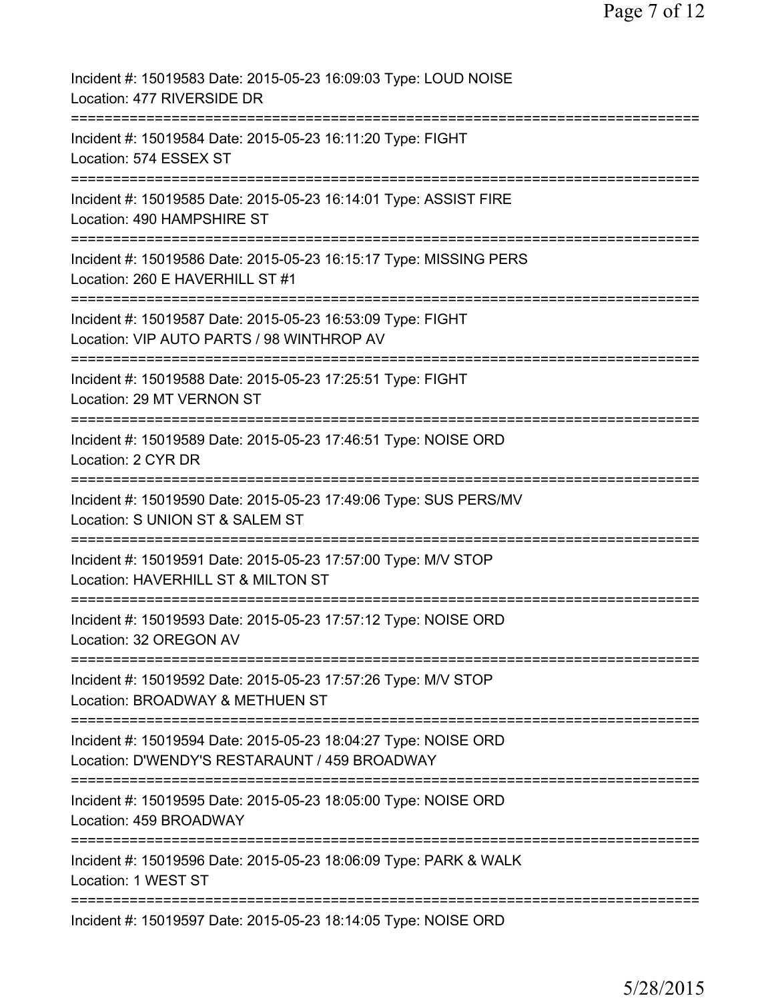| Incident #: 15019583 Date: 2015-05-23 16:09:03 Type: LOUD NOISE<br>Location: 477 RIVERSIDE DR                                                   |
|-------------------------------------------------------------------------------------------------------------------------------------------------|
| Incident #: 15019584 Date: 2015-05-23 16:11:20 Type: FIGHT<br>Location: 574 ESSEX ST                                                            |
| Incident #: 15019585 Date: 2015-05-23 16:14:01 Type: ASSIST FIRE<br>Location: 490 HAMPSHIRE ST                                                  |
| =====================<br>Incident #: 15019586 Date: 2015-05-23 16:15:17 Type: MISSING PERS<br>Location: 260 E HAVERHILL ST #1                   |
| Incident #: 15019587 Date: 2015-05-23 16:53:09 Type: FIGHT<br>Location: VIP AUTO PARTS / 98 WINTHROP AV                                         |
| =============================<br>Incident #: 15019588 Date: 2015-05-23 17:25:51 Type: FIGHT<br>Location: 29 MT VERNON ST                        |
| =============<br>Incident #: 15019589 Date: 2015-05-23 17:46:51 Type: NOISE ORD<br>Location: 2 CYR DR                                           |
| ==================<br>Incident #: 15019590 Date: 2015-05-23 17:49:06 Type: SUS PERS/MV<br>Location: S UNION ST & SALEM ST                       |
| Incident #: 15019591 Date: 2015-05-23 17:57:00 Type: M/V STOP<br>Location: HAVERHILL ST & MILTON ST                                             |
| Incident #: 15019593 Date: 2015-05-23 17:57:12 Type: NOISE ORD<br>Location: 32 OREGON AV                                                        |
| Incident #: 15019592 Date: 2015-05-23 17:57:26 Type: M/V STOP<br>Location: BROADWAY & METHUEN ST                                                |
| ============================<br>Incident #: 15019594 Date: 2015-05-23 18:04:27 Type: NOISE ORD<br>Location: D'WENDY'S RESTARAUNT / 459 BROADWAY |
| Incident #: 15019595 Date: 2015-05-23 18:05:00 Type: NOISE ORD<br>Location: 459 BROADWAY                                                        |
| Incident #: 15019596 Date: 2015-05-23 18:06:09 Type: PARK & WALK<br>Location: 1 WEST ST                                                         |
| Incident #: 15019597 Date: 2015-05-23 18:14:05 Type: NOISE ORD                                                                                  |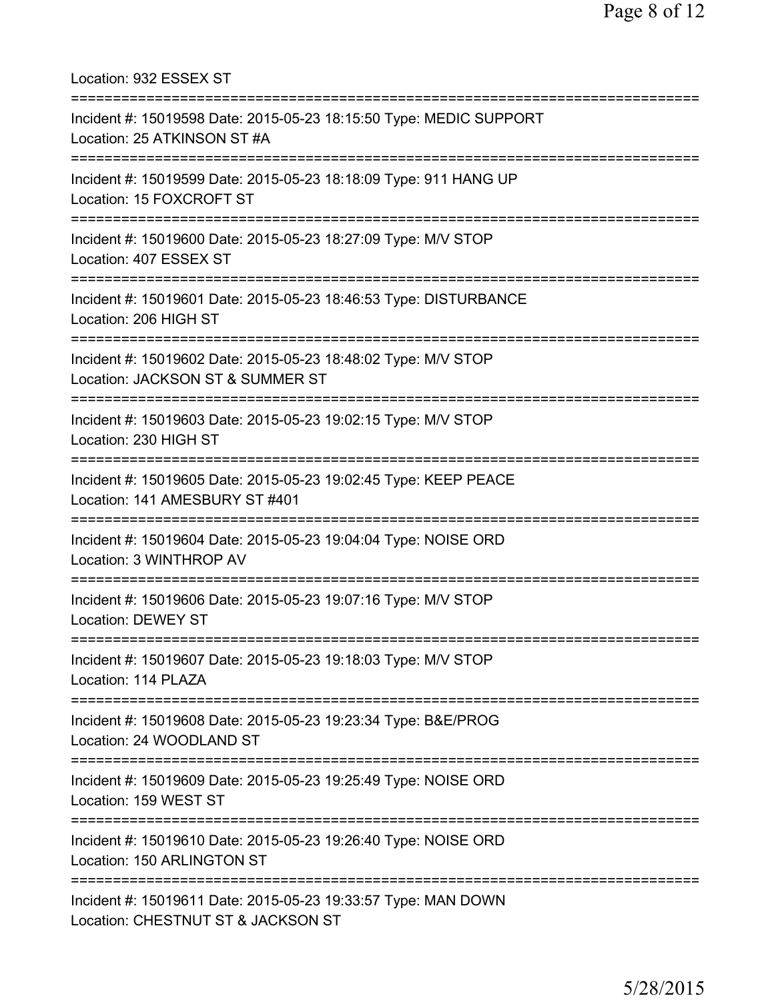Location: 932 ESSEX ST =========================================================================== Incident #: 15019598 Date: 2015-05-23 18:15:50 Type: MEDIC SUPPORT Location: 25 ATKINSON ST #A =========================================================================== Incident #: 15019599 Date: 2015-05-23 18:18:09 Type: 911 HANG UP Location: 15 FOXCROFT ST =========================================================================== Incident #: 15019600 Date: 2015-05-23 18:27:09 Type: M/V STOP Location: 407 ESSEX ST =========================================================================== Incident #: 15019601 Date: 2015-05-23 18:46:53 Type: DISTURBANCE Location: 206 HIGH ST =========================================================================== Incident #: 15019602 Date: 2015-05-23 18:48:02 Type: M/V STOP Location: JACKSON ST & SUMMER ST =========================================================================== Incident #: 15019603 Date: 2015-05-23 19:02:15 Type: M/V STOP Location: 230 HIGH ST =========================================================================== Incident #: 15019605 Date: 2015-05-23 19:02:45 Type: KEEP PEACE Location: 141 AMESBURY ST #401 =========================================================================== Incident #: 15019604 Date: 2015-05-23 19:04:04 Type: NOISE ORD Location: 3 WINTHROP AV =========================================================================== Incident #: 15019606 Date: 2015-05-23 19:07:16 Type: M/V STOP Location: DEWEY ST =========================================================================== Incident #: 15019607 Date: 2015-05-23 19:18:03 Type: M/V STOP Location: 114 PLAZA =========================================================================== Incident #: 15019608 Date: 2015-05-23 19:23:34 Type: B&E/PROG Location: 24 WOODLAND ST =========================================================================== Incident #: 15019609 Date: 2015-05-23 19:25:49 Type: NOISE ORD Location: 159 WEST ST =========================================================================== Incident #: 15019610 Date: 2015-05-23 19:26:40 Type: NOISE ORD Location: 150 ARLINGTON ST =========================================================================== Incident #: 15019611 Date: 2015-05-23 19:33:57 Type: MAN DOWN Location: CHESTNUT ST & JACKSON ST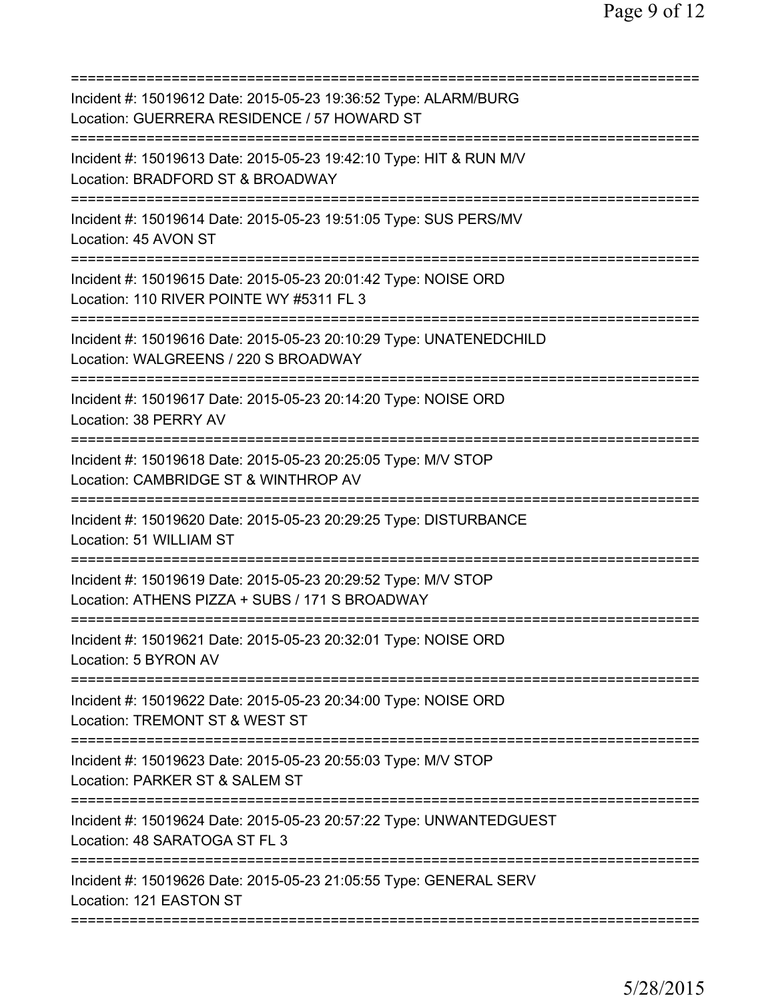| Incident #: 15019612 Date: 2015-05-23 19:36:52 Type: ALARM/BURG<br>Location: GUERRERA RESIDENCE / 57 HOWARD ST  |
|-----------------------------------------------------------------------------------------------------------------|
| Incident #: 15019613 Date: 2015-05-23 19:42:10 Type: HIT & RUN M/V<br>Location: BRADFORD ST & BROADWAY          |
| Incident #: 15019614 Date: 2015-05-23 19:51:05 Type: SUS PERS/MV<br>Location: 45 AVON ST                        |
| Incident #: 15019615 Date: 2015-05-23 20:01:42 Type: NOISE ORD<br>Location: 110 RIVER POINTE WY #5311 FL 3      |
| Incident #: 15019616 Date: 2015-05-23 20:10:29 Type: UNATENEDCHILD<br>Location: WALGREENS / 220 S BROADWAY      |
| Incident #: 15019617 Date: 2015-05-23 20:14:20 Type: NOISE ORD<br>Location: 38 PERRY AV                         |
| Incident #: 15019618 Date: 2015-05-23 20:25:05 Type: M/V STOP<br>Location: CAMBRIDGE ST & WINTHROP AV           |
| Incident #: 15019620 Date: 2015-05-23 20:29:25 Type: DISTURBANCE<br>Location: 51 WILLIAM ST                     |
| Incident #: 15019619 Date: 2015-05-23 20:29:52 Type: M/V STOP<br>Location: ATHENS PIZZA + SUBS / 171 S BROADWAY |
| Incident #: 15019621 Date: 2015-05-23 20:32:01 Type: NOISE ORD<br>Location: 5 BYRON AV                          |
| Incident #: 15019622 Date: 2015-05-23 20:34:00 Type: NOISE ORD<br>Location: TREMONT ST & WEST ST                |
| Incident #: 15019623 Date: 2015-05-23 20:55:03 Type: M/V STOP<br>Location: PARKER ST & SALEM ST                 |
| Incident #: 15019624 Date: 2015-05-23 20:57:22 Type: UNWANTEDGUEST<br>Location: 48 SARATOGA ST FL 3             |
| Incident #: 15019626 Date: 2015-05-23 21:05:55 Type: GENERAL SERV<br>Location: 121 EASTON ST                    |
|                                                                                                                 |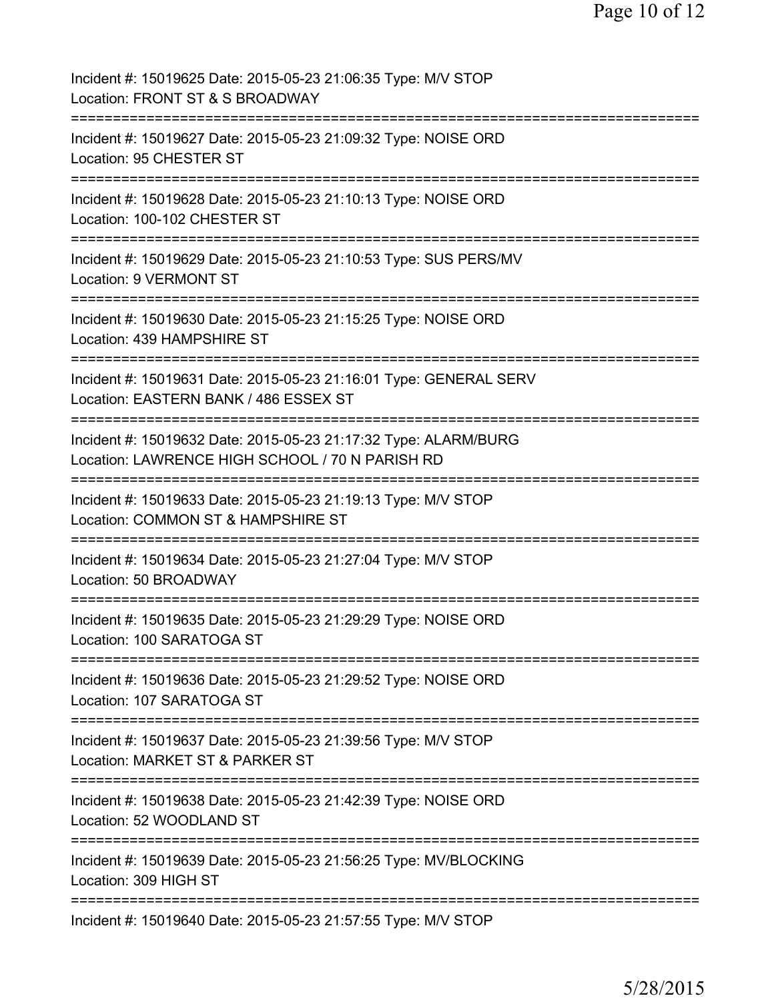| Incident #: 15019625 Date: 2015-05-23 21:06:35 Type: M/V STOP<br>Location: FRONT ST & S BROADWAY                                            |
|---------------------------------------------------------------------------------------------------------------------------------------------|
| Incident #: 15019627 Date: 2015-05-23 21:09:32 Type: NOISE ORD<br>Location: 95 CHESTER ST                                                   |
| Incident #: 15019628 Date: 2015-05-23 21:10:13 Type: NOISE ORD<br>Location: 100-102 CHESTER ST                                              |
| Incident #: 15019629 Date: 2015-05-23 21:10:53 Type: SUS PERS/MV<br><b>Location: 9 VERMONT ST</b>                                           |
| Incident #: 15019630 Date: 2015-05-23 21:15:25 Type: NOISE ORD<br>Location: 439 HAMPSHIRE ST<br>------------                                |
| Incident #: 15019631 Date: 2015-05-23 21:16:01 Type: GENERAL SERV<br>Location: EASTERN BANK / 486 ESSEX ST<br>----------------------------- |
| Incident #: 15019632 Date: 2015-05-23 21:17:32 Type: ALARM/BURG<br>Location: LAWRENCE HIGH SCHOOL / 70 N PARISH RD                          |
| Incident #: 15019633 Date: 2015-05-23 21:19:13 Type: M/V STOP<br>Location: COMMON ST & HAMPSHIRE ST                                         |
| Incident #: 15019634 Date: 2015-05-23 21:27:04 Type: M/V STOP<br>Location: 50 BROADWAY                                                      |
| Incident #: 15019635 Date: 2015-05-23 21:29:29 Type: NOISE ORD<br>Location: 100 SARATOGA ST                                                 |
| Incident #: 15019636 Date: 2015-05-23 21:29:52 Type: NOISE ORD<br>Location: 107 SARATOGA ST                                                 |
| Incident #: 15019637 Date: 2015-05-23 21:39:56 Type: M/V STOP<br>Location: MARKET ST & PARKER ST                                            |
| Incident #: 15019638 Date: 2015-05-23 21:42:39 Type: NOISE ORD<br>Location: 52 WOODLAND ST                                                  |
| Incident #: 15019639 Date: 2015-05-23 21:56:25 Type: MV/BLOCKING<br>Location: 309 HIGH ST                                                   |
| ==============================<br>============<br>Incident #: 15019640 Date: 2015-05-23 21:57:55 Type: M/V STOP                             |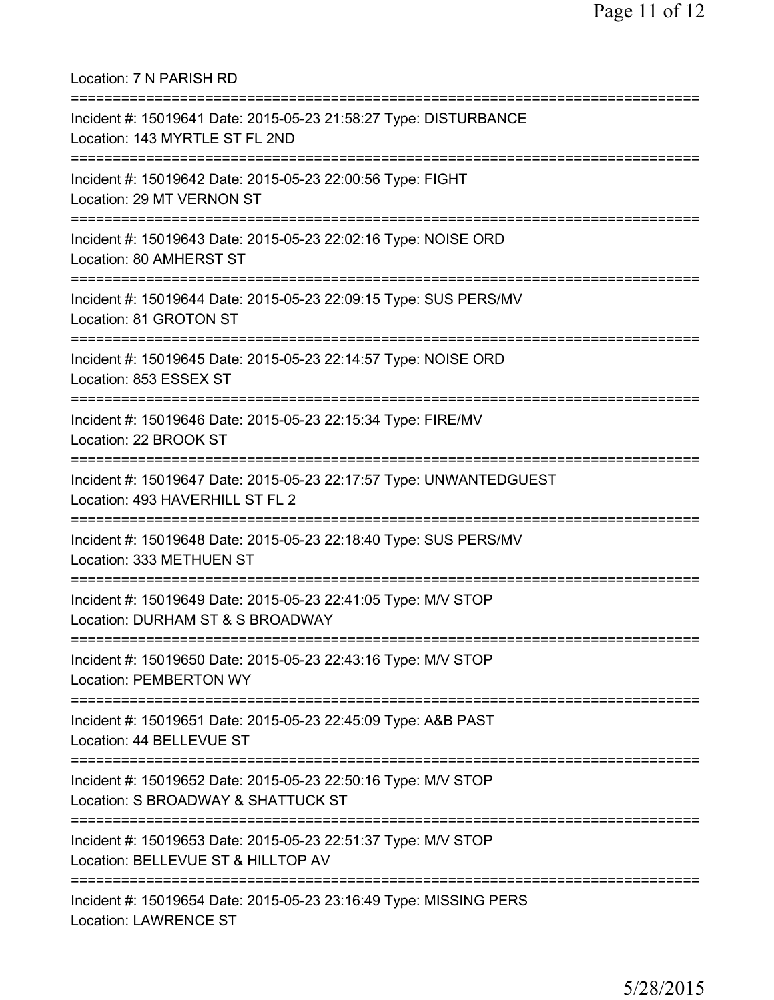Location: 7 N PARISH RD =========================================================================== Incident #: 15019641 Date: 2015-05-23 21:58:27 Type: DISTURBANCE Location: 143 MYRTLE ST FL 2ND =========================================================================== Incident #: 15019642 Date: 2015-05-23 22:00:56 Type: FIGHT Location: 29 MT VERNON ST =========================================================================== Incident #: 15019643 Date: 2015-05-23 22:02:16 Type: NOISE ORD Location: 80 AMHERST ST =========================================================================== Incident #: 15019644 Date: 2015-05-23 22:09:15 Type: SUS PERS/MV Location: 81 GROTON ST =========================================================================== Incident #: 15019645 Date: 2015-05-23 22:14:57 Type: NOISE ORD Location: 853 ESSEX ST =========================================================================== Incident #: 15019646 Date: 2015-05-23 22:15:34 Type: FIRE/MV Location: 22 BROOK ST =========================================================================== Incident #: 15019647 Date: 2015-05-23 22:17:57 Type: UNWANTEDGUEST Location: 493 HAVERHILL ST FL 2 =========================================================================== Incident #: 15019648 Date: 2015-05-23 22:18:40 Type: SUS PERS/MV Location: 333 METHUEN ST =========================================================================== Incident #: 15019649 Date: 2015-05-23 22:41:05 Type: M/V STOP Location: DURHAM ST & S BROADWAY =========================================================================== Incident #: 15019650 Date: 2015-05-23 22:43:16 Type: M/V STOP Location: PEMBERTON WY =========================================================================== Incident #: 15019651 Date: 2015-05-23 22:45:09 Type: A&B PAST Location: 44 BELLEVUE ST =========================================================================== Incident #: 15019652 Date: 2015-05-23 22:50:16 Type: M/V STOP Location: S BROADWAY & SHATTUCK ST =========================================================================== Incident #: 15019653 Date: 2015-05-23 22:51:37 Type: M/V STOP Location: BELLEVUE ST & HILLTOP AV =========================================================================== Incident #: 15019654 Date: 2015-05-23 23:16:49 Type: MISSING PERS Location: LAWRENCE ST